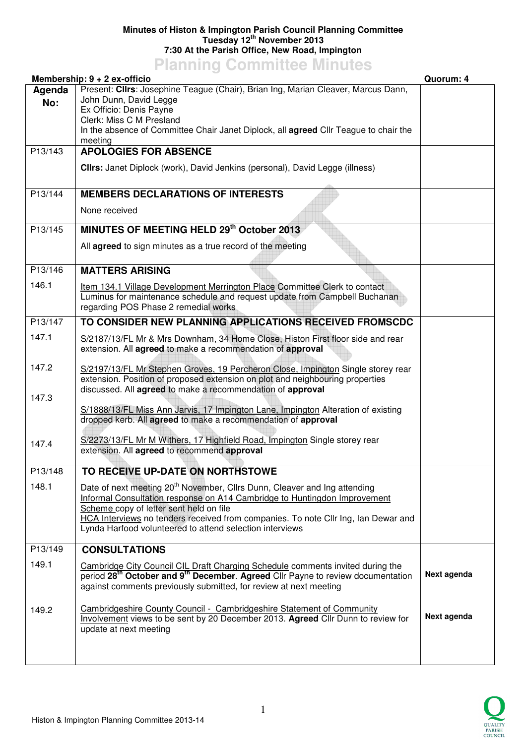## **Minutes of Histon & Impington Parish Council Planning Committee Tuesday 12th November 2013 7:30 At the Parish Office, New Road, Impington**

**Planning Committee Minutes** 

|               | Membership: $9 + 2$ ex-officio                                                                                                                                                                                                                                                                                                                                  | Quorum: 4   |
|---------------|-----------------------------------------------------------------------------------------------------------------------------------------------------------------------------------------------------------------------------------------------------------------------------------------------------------------------------------------------------------------|-------------|
| Agenda<br>No: | Present: Clirs: Josephine Teague (Chair), Brian Ing, Marian Cleaver, Marcus Dann,<br>John Dunn, David Legge<br>Ex Officio: Denis Payne<br>Clerk: Miss C M Presland<br>In the absence of Committee Chair Janet Diplock, all <b>agreed</b> Cllr Teague to chair the<br>meeting                                                                                    |             |
| P13/143       | <b>APOLOGIES FOR ABSENCE</b><br>Clirs: Janet Diplock (work), David Jenkins (personal), David Legge (illness)                                                                                                                                                                                                                                                    |             |
| P13/144       | <b>MEMBERS DECLARATIONS OF INTERESTS</b><br>None received                                                                                                                                                                                                                                                                                                       |             |
| P13/145       | MINUTES OF MEETING HELD 29th October 2013<br>All agreed to sign minutes as a true record of the meeting                                                                                                                                                                                                                                                         |             |
| P13/146       | <b>MATTERS ARISING</b>                                                                                                                                                                                                                                                                                                                                          |             |
| 146.1         | Item 134.1 Village Development Merrington Place Committee Clerk to contact<br>Luminus for maintenance schedule and request update from Campbell Buchanan<br>regarding POS Phase 2 remedial works                                                                                                                                                                |             |
| P13/147       | TO CONSIDER NEW PLANNING APPLICATIONS RECEIVED FROMSCDC                                                                                                                                                                                                                                                                                                         |             |
| 147.1         | S/2187/13/FL Mr & Mrs Downham, 34 Home Close, Histon First floor side and rear<br>extension. All agreed to make a recommendation of approval                                                                                                                                                                                                                    |             |
| 147.2         | S/2197/13/FL Mr Stephen Groves, 19 Percheron Close, Impington Single storey rear<br>extension. Position of proposed extension on plot and neighbouring properties<br>discussed. All agreed to make a recommendation of approval                                                                                                                                 |             |
| 147.3         | S/1888/13/FL Miss Ann Jarvis, 17 Impington Lane, Impington Alteration of existing<br>dropped kerb. All agreed to make a recommendation of approval                                                                                                                                                                                                              |             |
| 147.4         | S/2273/13/FL Mr M Withers, 17 Highfield Road, Impington Single storey rear<br>extension. All agreed to recommend approval                                                                                                                                                                                                                                       |             |
| P13/148       | TO RECEIVE UP-DATE ON NORTHSTOWE                                                                                                                                                                                                                                                                                                                                |             |
| 148.1         | Date of next meeting 20 <sup>th</sup> November, Cllrs Dunn, Cleaver and Ing attending<br>Informal Consultation response on A14 Cambridge to Huntingdon Improvement<br>Scheme copy of letter sent held on file<br>HCA Interviews no tenders received from companies. To note Cllr Ing, Ian Dewar and<br>Lynda Harfood volunteered to attend selection interviews |             |
| P13/149       | <b>CONSULTATIONS</b>                                                                                                                                                                                                                                                                                                                                            |             |
| 149.1         | Cambridge City Council CIL Draft Charging Schedule comments invited during the<br>period 28 <sup>th</sup> October and 9 <sup>th</sup> December. Agreed Cllr Payne to review documentation<br>against comments previously submitted, for review at next meeting                                                                                                  | Next agenda |
| 149.2         | Cambridgeshire County Council - Cambridgeshire Statement of Community<br>Involvement views to be sent by 20 December 2013. Agreed Cllr Dunn to review for<br>update at next meeting                                                                                                                                                                             | Next agenda |
|               |                                                                                                                                                                                                                                                                                                                                                                 |             |